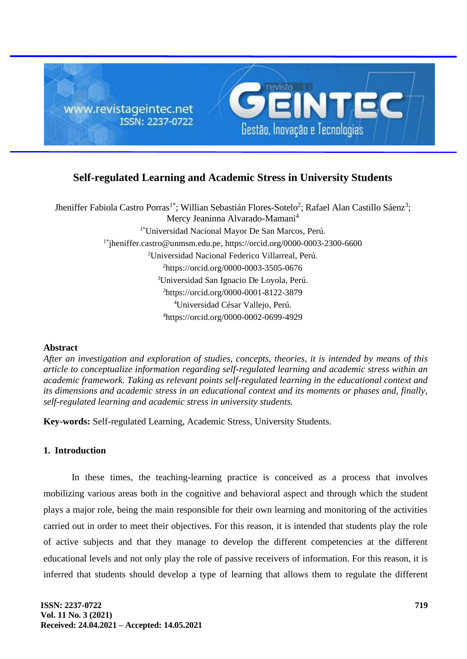

# **Self-regulated Learning and Academic Stress in University Students**

Jheniffer Fabiola Castro Porras<sup>1\*</sup>; Willian Sebastián Flores-Sotelo<sup>2</sup>; Rafael Alan Castillo Sáenz<sup>3</sup>; Mercy Jeaninna Alvarado-Mamani<sup>4</sup> 1\*Universidad Nacional Mayor De San Marcos, Perú. 1\*[jheniffer.castro@unmsm.edu.pe,](mailto:jheniffer.castro@unmsm.edu.pe) <https://orcid.org/0000-0003-2300-6600> <sup>2</sup>Universidad Nacional Federico Villarreal, Perú. <sup>2</sup><https://orcid.org/0000-0003-3505-0676> <sup>3</sup>Universidad San Ignacio De Loyola, Perú. <sup>3</sup>https://orcid.org/0000-0001-8122-3879 <sup>4</sup>Universidad César Vallejo, Perú. <sup>4</sup><https://orcid.org/0000-0002-0699-4929>

### **Abstract**

*After an investigation and exploration of studies, concepts, theories, it is intended by means of this article to conceptualize information regarding self-regulated learning and academic stress within an academic framework. Taking as relevant points self-regulated learning in the educational context and its dimensions and academic stress in an educational context and its moments or phases and, finally, self-regulated learning and academic stress in university students.*

**Key-words:** Self-regulated Learning, Academic Stress, University Students.

## **1. Introduction**

In these times, the teaching-learning practice is conceived as a process that involves mobilizing various areas both in the cognitive and behavioral aspect and through which the student plays a major role, being the main responsible for their own learning and monitoring of the activities carried out in order to meet their objectives. For this reason, it is intended that students play the role of active subjects and that they manage to develop the different competencies at the different educational levels and not only play the role of passive receivers of information. For this reason, it is inferred that students should develop a type of learning that allows them to regulate the different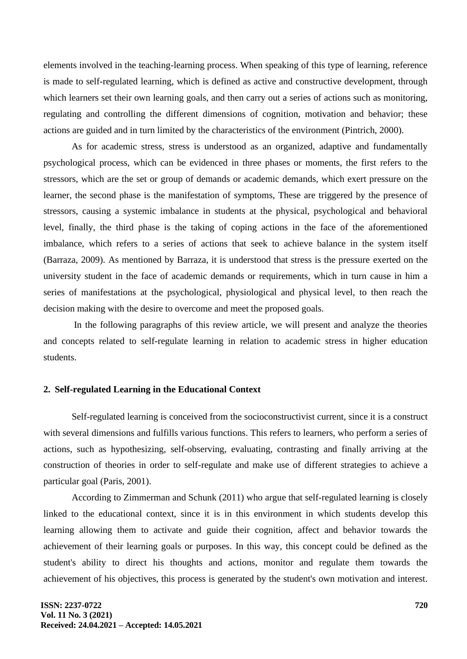elements involved in the teaching-learning process. When speaking of this type of learning, reference is made to self-regulated learning, which is defined as active and constructive development, through which learners set their own learning goals, and then carry out a series of actions such as monitoring, regulating and controlling the different dimensions of cognition, motivation and behavior; these actions are guided and in turn limited by the characteristics of the environment (Pintrich, 2000).

As for academic stress, stress is understood as an organized, adaptive and fundamentally psychological process, which can be evidenced in three phases or moments, the first refers to the stressors, which are the set or group of demands or academic demands, which exert pressure on the learner, the second phase is the manifestation of symptoms, These are triggered by the presence of stressors, causing a systemic imbalance in students at the physical, psychological and behavioral level, finally, the third phase is the taking of coping actions in the face of the aforementioned imbalance, which refers to a series of actions that seek to achieve balance in the system itself (Barraza, 2009). As mentioned by Barraza, it is understood that stress is the pressure exerted on the university student in the face of academic demands or requirements, which in turn cause in him a series of manifestations at the psychological, physiological and physical level, to then reach the decision making with the desire to overcome and meet the proposed goals.

In the following paragraphs of this review article, we will present and analyze the theories and concepts related to self-regulate learning in relation to academic stress in higher education students.

#### **2. Self-regulated Learning in the Educational Context**

Self-regulated learning is conceived from the socioconstructivist current, since it is a construct with several dimensions and fulfills various functions. This refers to learners, who perform a series of actions, such as hypothesizing, self-observing, evaluating, contrasting and finally arriving at the construction of theories in order to self-regulate and make use of different strategies to achieve a particular goal (Paris, 2001).

According to Zimmerman and Schunk (2011) who argue that self-regulated learning is closely linked to the educational context, since it is in this environment in which students develop this learning allowing them to activate and guide their cognition, affect and behavior towards the achievement of their learning goals or purposes. In this way, this concept could be defined as the student's ability to direct his thoughts and actions, monitor and regulate them towards the achievement of his objectives, this process is generated by the student's own motivation and interest.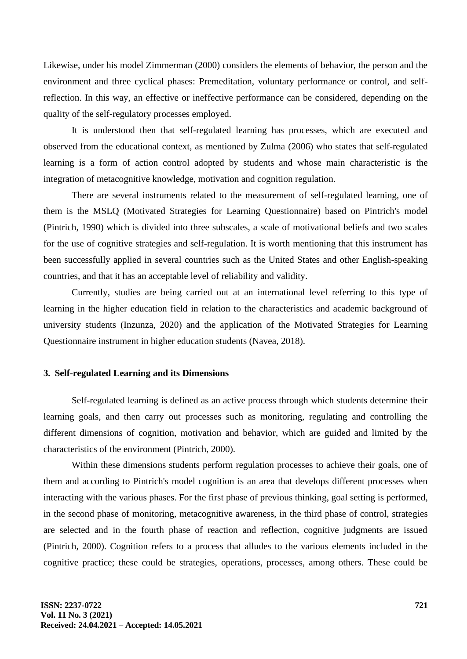Likewise, under his model Zimmerman (2000) considers the elements of behavior, the person and the environment and three cyclical phases: Premeditation, voluntary performance or control, and selfreflection. In this way, an effective or ineffective performance can be considered, depending on the quality of the self-regulatory processes employed.

It is understood then that self-regulated learning has processes, which are executed and observed from the educational context, as mentioned by Zulma (2006) who states that self-regulated learning is a form of action control adopted by students and whose main characteristic is the integration of metacognitive knowledge, motivation and cognition regulation.

There are several instruments related to the measurement of self-regulated learning, one of them is the MSLQ (Motivated Strategies for Learning Questionnaire) based on Pintrich's model (Pintrich, 1990) which is divided into three subscales, a scale of motivational beliefs and two scales for the use of cognitive strategies and self-regulation. It is worth mentioning that this instrument has been successfully applied in several countries such as the United States and other English-speaking countries, and that it has an acceptable level of reliability and validity.

Currently, studies are being carried out at an international level referring to this type of learning in the higher education field in relation to the characteristics and academic background of university students (Inzunza, 2020) and the application of the Motivated Strategies for Learning Questionnaire instrument in higher education students (Navea, 2018).

#### **3. Self-regulated Learning and its Dimensions**

Self-regulated learning is defined as an active process through which students determine their learning goals, and then carry out processes such as monitoring, regulating and controlling the different dimensions of cognition, motivation and behavior, which are guided and limited by the characteristics of the environment (Pintrich, 2000).

Within these dimensions students perform regulation processes to achieve their goals, one of them and according to Pintrich's model cognition is an area that develops different processes when interacting with the various phases. For the first phase of previous thinking, goal setting is performed, in the second phase of monitoring, metacognitive awareness, in the third phase of control, strategies are selected and in the fourth phase of reaction and reflection, cognitive judgments are issued (Pintrich, 2000). Cognition refers to a process that alludes to the various elements included in the cognitive practice; these could be strategies, operations, processes, among others. These could be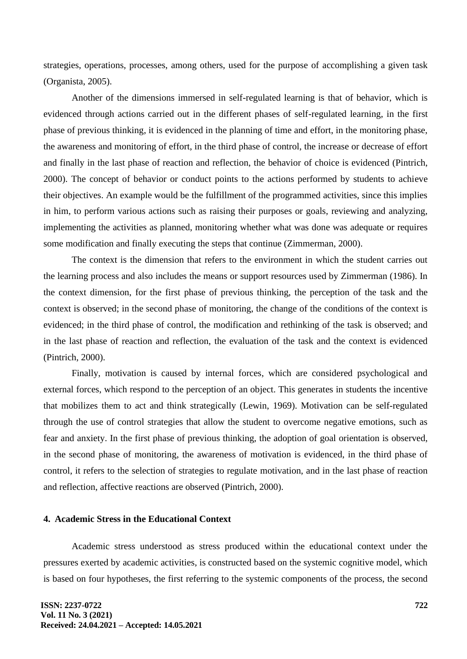strategies, operations, processes, among others, used for the purpose of accomplishing a given task (Organista, 2005).

Another of the dimensions immersed in self-regulated learning is that of behavior, which is evidenced through actions carried out in the different phases of self-regulated learning, in the first phase of previous thinking, it is evidenced in the planning of time and effort, in the monitoring phase, the awareness and monitoring of effort, in the third phase of control, the increase or decrease of effort and finally in the last phase of reaction and reflection, the behavior of choice is evidenced (Pintrich, 2000). The concept of behavior or conduct points to the actions performed by students to achieve their objectives. An example would be the fulfillment of the programmed activities, since this implies in him, to perform various actions such as raising their purposes or goals, reviewing and analyzing, implementing the activities as planned, monitoring whether what was done was adequate or requires some modification and finally executing the steps that continue (Zimmerman, 2000).

The context is the dimension that refers to the environment in which the student carries out the learning process and also includes the means or support resources used by Zimmerman (1986). In the context dimension, for the first phase of previous thinking, the perception of the task and the context is observed; in the second phase of monitoring, the change of the conditions of the context is evidenced; in the third phase of control, the modification and rethinking of the task is observed; and in the last phase of reaction and reflection, the evaluation of the task and the context is evidenced (Pintrich, 2000).

Finally, motivation is caused by internal forces, which are considered psychological and external forces, which respond to the perception of an object. This generates in students the incentive that mobilizes them to act and think strategically (Lewin, 1969). Motivation can be self-regulated through the use of control strategies that allow the student to overcome negative emotions, such as fear and anxiety. In the first phase of previous thinking, the adoption of goal orientation is observed, in the second phase of monitoring, the awareness of motivation is evidenced, in the third phase of control, it refers to the selection of strategies to regulate motivation, and in the last phase of reaction and reflection, affective reactions are observed (Pintrich, 2000).

### **4. Academic Stress in the Educational Context**

Academic stress understood as stress produced within the educational context under the pressures exerted by academic activities, is constructed based on the systemic cognitive model, which is based on four hypotheses, the first referring to the systemic components of the process, the second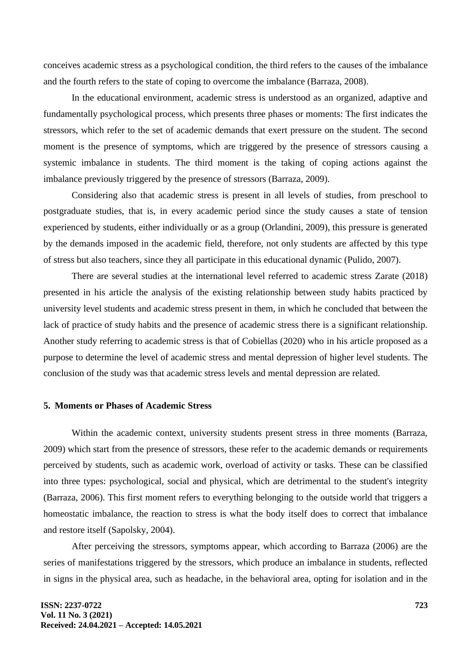conceives academic stress as a psychological condition, the third refers to the causes of the imbalance and the fourth refers to the state of coping to overcome the imbalance (Barraza, 2008).

In the educational environment, academic stress is understood as an organized, adaptive and fundamentally psychological process, which presents three phases or moments: The first indicates the stressors, which refer to the set of academic demands that exert pressure on the student. The second moment is the presence of symptoms, which are triggered by the presence of stressors causing a systemic imbalance in students. The third moment is the taking of coping actions against the imbalance previously triggered by the presence of stressors (Barraza, 2009).

Considering also that academic stress is present in all levels of studies, from preschool to postgraduate studies, that is, in every academic period since the study causes a state of tension experienced by students, either individually or as a group (Orlandini, 2009), this pressure is generated by the demands imposed in the academic field, therefore, not only students are affected by this type of stress but also teachers, since they all participate in this educational dynamic (Pulido, 2007).

There are several studies at the international level referred to academic stress Zarate (2018) presented in his article the analysis of the existing relationship between study habits practiced by university level students and academic stress present in them, in which he concluded that between the lack of practice of study habits and the presence of academic stress there is a significant relationship. Another study referring to academic stress is that of Cobiellas (2020) who in his article proposed as a purpose to determine the level of academic stress and mental depression of higher level students. The conclusion of the study was that academic stress levels and mental depression are related.

#### **5. Moments or Phases of Academic Stress**

Within the academic context, university students present stress in three moments (Barraza, 2009) which start from the presence of stressors, these refer to the academic demands or requirements perceived by students, such as academic work, overload of activity or tasks. These can be classified into three types: psychological, social and physical, which are detrimental to the student's integrity (Barraza, 2006). This first moment refers to everything belonging to the outside world that triggers a homeostatic imbalance, the reaction to stress is what the body itself does to correct that imbalance and restore itself (Sapolsky, 2004).

After perceiving the stressors, symptoms appear, which according to Barraza (2006) are the series of manifestations triggered by the stressors, which produce an imbalance in students, reflected in signs in the physical area, such as headache, in the behavioral area, opting for isolation and in the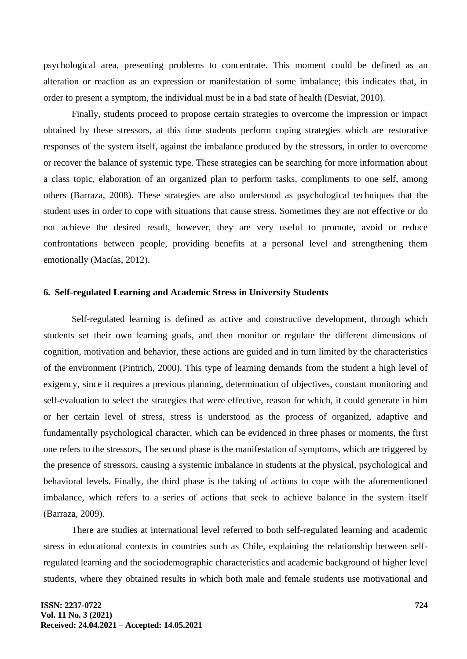psychological area, presenting problems to concentrate. This moment could be defined as an alteration or reaction as an expression or manifestation of some imbalance; this indicates that, in order to present a symptom, the individual must be in a bad state of health (Desviat, 2010).

Finally, students proceed to propose certain strategies to overcome the impression or impact obtained by these stressors, at this time students perform coping strategies which are restorative responses of the system itself, against the imbalance produced by the stressors, in order to overcome or recover the balance of systemic type. These strategies can be searching for more information about a class topic, elaboration of an organized plan to perform tasks, compliments to one self, among others (Barraza, 2008). These strategies are also understood as psychological techniques that the student uses in order to cope with situations that cause stress. Sometimes they are not effective or do not achieve the desired result, however, they are very useful to promote, avoid or reduce confrontations between people, providing benefits at a personal level and strengthening them emotionally (Macías, 2012).

#### **6. Self-regulated Learning and Academic Stress in University Students**

Self-regulated learning is defined as active and constructive development, through which students set their own learning goals, and then monitor or regulate the different dimensions of cognition, motivation and behavior, these actions are guided and in turn limited by the characteristics of the environment (Pintrich, 2000). This type of learning demands from the student a high level of exigency, since it requires a previous planning, determination of objectives, constant monitoring and self-evaluation to select the strategies that were effective, reason for which, it could generate in him or her certain level of stress, stress is understood as the process of organized, adaptive and fundamentally psychological character, which can be evidenced in three phases or moments, the first one refers to the stressors, The second phase is the manifestation of symptoms, which are triggered by the presence of stressors, causing a systemic imbalance in students at the physical, psychological and behavioral levels. Finally, the third phase is the taking of actions to cope with the aforementioned imbalance, which refers to a series of actions that seek to achieve balance in the system itself (Barraza, 2009).

There are studies at international level referred to both self-regulated learning and academic stress in educational contexts in countries such as Chile, explaining the relationship between selfregulated learning and the sociodemographic characteristics and academic background of higher level students, where they obtained results in which both male and female students use motivational and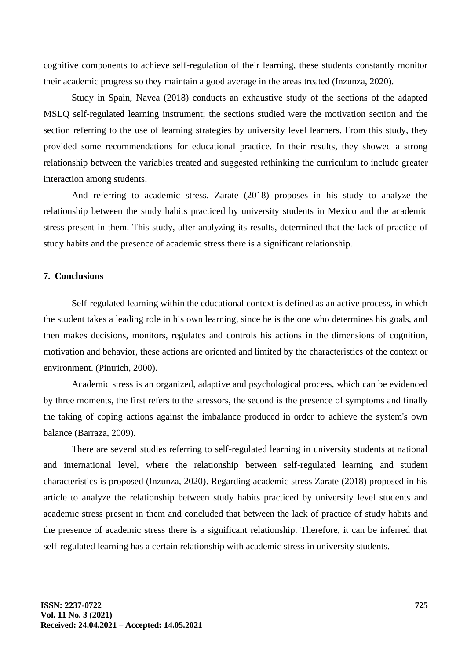cognitive components to achieve self-regulation of their learning, these students constantly monitor their academic progress so they maintain a good average in the areas treated (Inzunza, 2020).

Study in Spain, Navea (2018) conducts an exhaustive study of the sections of the adapted MSLQ self-regulated learning instrument; the sections studied were the motivation section and the section referring to the use of learning strategies by university level learners. From this study, they provided some recommendations for educational practice. In their results, they showed a strong relationship between the variables treated and suggested rethinking the curriculum to include greater interaction among students.

And referring to academic stress, Zarate (2018) proposes in his study to analyze the relationship between the study habits practiced by university students in Mexico and the academic stress present in them. This study, after analyzing its results, determined that the lack of practice of study habits and the presence of academic stress there is a significant relationship.

### **7. Conclusions**

Self-regulated learning within the educational context is defined as an active process, in which the student takes a leading role in his own learning, since he is the one who determines his goals, and then makes decisions, monitors, regulates and controls his actions in the dimensions of cognition, motivation and behavior, these actions are oriented and limited by the characteristics of the context or environment. (Pintrich, 2000).

Academic stress is an organized, adaptive and psychological process, which can be evidenced by three moments, the first refers to the stressors, the second is the presence of symptoms and finally the taking of coping actions against the imbalance produced in order to achieve the system's own balance (Barraza, 2009).

There are several studies referring to self-regulated learning in university students at national and international level, where the relationship between self-regulated learning and student characteristics is proposed (Inzunza, 2020). Regarding academic stress Zarate (2018) proposed in his article to analyze the relationship between study habits practiced by university level students and academic stress present in them and concluded that between the lack of practice of study habits and the presence of academic stress there is a significant relationship. Therefore, it can be inferred that self-regulated learning has a certain relationship with academic stress in university students.